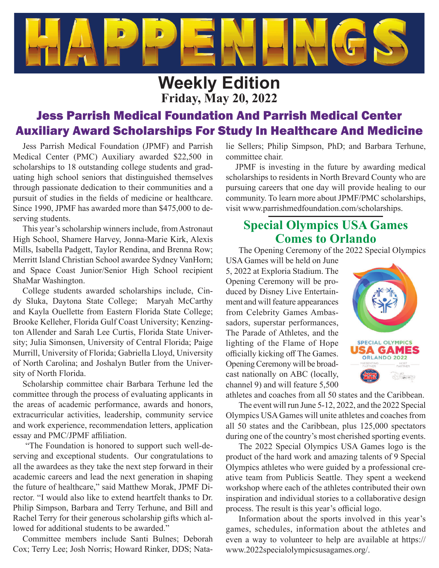

# **Weekly Edition Friday, May 20, 2022**

# Jess Parrish Medical Foundation And Parrish Medical Center Auxiliary Award Scholarships For Study In Healthcare And Medicine

Jess Parrish Medical Foundation (JPMF) and Parrish Medical Center (PMC) Auxiliary awarded \$22,500 in scholarships to 18 outstanding college students and graduating high school seniors that distinguished themselves through passionate dedication to their communities and a pursuit of studies in the fields of medicine or healthcare. Since 1990, JPMF has awarded more than \$475,000 to deserving students.

This year's scholarship winners include, from Astronaut High School, Shamere Harvey, Jonna-Marie Kirk, Alexis Mills, Isabella Padgett, Taylor Rendina, and Brenna Row; Merritt Island Christian School awardee Sydney VanHorn; and Space Coast Junior/Senior High School recipient ShaMar Washington.

College students awarded scholarships include, Cindy Sluka, Daytona State College; Maryah McCarthy and Kayla Ouellette from Eastern Florida State College; Brooke Kelleher, Florida Gulf Coast University; Kenzington Allender and Sarah Lee Curtis, Florida State University; Julia Simonsen, University of Central Florida; Paige Murrill, University of Florida; Gabriella Lloyd, University of North Carolina; and Joshalyn Butler from the University of North Florida.

Scholarship committee chair Barbara Terhune led the committee through the process of evaluating applicants in the areas of academic performance, awards and honors, extracurricular activities, leadership, community service and work experience, recommendation letters, application essay and PMC/JPMF affiliation.

 "The Foundation is honored to support such well-deserving and exceptional students. Our congratulations to all the awardees as they take the next step forward in their academic careers and lead the next generation in shaping the future of healthcare," said Matthew Morak, JPMF Director. "I would also like to extend heartfelt thanks to Dr. Philip Simpson, Barbara and Terry Terhune, and Bill and Rachel Terry for their generous scholarship gifts which allowed for additional students to be awarded."

Committee members include Santi Bulnes; Deborah Cox; Terry Lee; Josh Norris; Howard Rinker, DDS; Natalie Sellers; Philip Simpson, PhD; and Barbara Terhune, committee chair.

JPMF is investing in the future by awarding medical scholarships to residents in North Brevard County who are pursuing careers that one day will provide healing to our community. To learn more about JPMF/PMC scholarships, visit www.parrishmedfoundation.com/scholarships.

# **Special Olympics USA Games Comes to Orlando**

The Opening Ceremony of the 2022 Special Olympics

USA Games will be held on June 5, 2022 at Exploria Stadium. The Opening Ceremony will be produced by Disney Live Entertainment and will feature appearances from Celebrity Games Ambassadors, superstar performances, The Parade of Athletes, and the lighting of the Flame of Hope officially kicking off The Games. Opening Ceremony will be broadcast nationally on ABC (locally, channel 9) and will feature 5,500



athletes and coaches from all 50 states and the Caribbean.

The event will run June 5-12, 2022, and the 2022 Special Olympics USA Games will unite athletes and coaches from all 50 states and the Caribbean, plus 125,000 spectators during one of the country's most cherished sporting events.

The 2022 Special Olympics USA Games logo is the product of the hard work and amazing talents of 9 Special Olympics athletes who were guided by a professional creative team from Publicis Seattle. They spent a weekend workshop where each of the athletes contributed their own inspiration and individual stories to a collaborative design process. The result is this year's official logo.

Information about the sports involved in this year's games, schedules, information about the athletes and even a way to volunteer to help are available at https:// www.2022specialolympicsusagames.org/.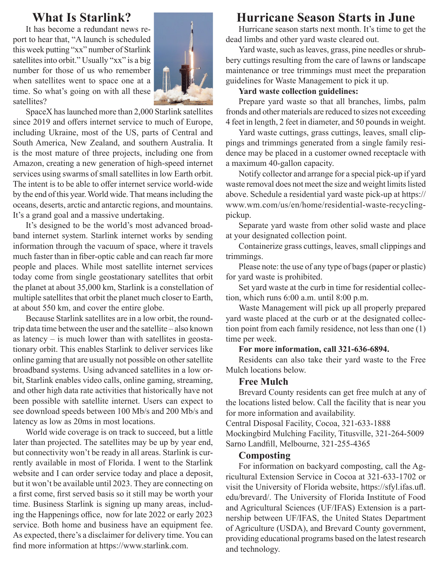### **What Is Starlink?**

It has become a redundant news report to hear that, "A launch is scheduled this week putting "xx" number of Starlink satellites into orbit." Usually "xx" is a big number for those of us who remember when satellites went to space one at a time. So what's going on with all these satellites?



SpaceX has launched more than 2,000 Starlink satellites since 2019 and offers internet service to much of Europe, including Ukraine, most of the US, parts of Central and South America, New Zealand, and southern Australia. It is the most mature of three projects, including one from Amazon, creating a new generation of high-speed internet services using swarms of small satellites in low Earth orbit. The intent is to be able to offer internet service world-wide by the end of this year. World wide. That means including the oceans, deserts, arctic and antarctic regions, and mountains. It's a grand goal and a massive undertaking.

It's designed to be the world's most advanced broadband internet system. Starlink internet works by sending information through the vacuum of space, where it travels much faster than in fiber-optic cable and can reach far more people and places. While most satellite internet services today come from single geostationary satellites that orbit the planet at about 35,000 km, Starlink is a constellation of multiple satellites that orbit the planet much closer to Earth, at about 550 km, and cover the entire globe.

Because Starlink satellites are in a low orbit, the roundtrip data time between the user and the satellite – also known as latency – is much lower than with satellites in geostationary orbit. This enables Starlink to deliver services like online gaming that are usually not possible on other satellite broadband systems. Using advanced satellites in a low orbit, Starlink enables video calls, online gaming, streaming, and other high data rate activities that historically have not been possible with satellite internet. Users can expect to see download speeds between 100 Mb/s and 200 Mb/s and latency as low as 20ms in most locations.

World wide coverage is on track to succeed, but a little later than projected. The satellites may be up by year end, but connectivity won't be ready in all areas. Starlink is currently available in most of Florida. I went to the Starlink website and I can order service today and place a deposit, but it won't be available until 2023. They are connecting on a first come, first served basis so it still may be worth your time. Business Starlink is signing up many areas, including the Happenings office, now for late 2022 or early 2023 service. Both home and business have an equipment fee. As expected, there's a disclaimer for delivery time. You can find more information at https://www.starlink.com.

### **Hurricane Season Starts in June**

Hurricane season starts next month. It's time to get the dead limbs and other yard waste cleared out.

Yard waste, such as leaves, grass, pine needles or shrubbery cuttings resulting from the care of lawns or landscape maintenance or tree trimmings must meet the preparation guidelines for Waste Management to pick it up.

#### **Yard waste collection guidelines:**

Prepare yard waste so that all branches, limbs, palm fronds and other materials are reduced to sizes not exceeding 4 feet in length, 2 feet in diameter, and 50 pounds in weight.

Yard waste cuttings, grass cuttings, leaves, small clippings and trimmings generated from a single family residence may be placed in a customer owned receptacle with a maximum 40-gallon capacity.

Notify collector and arrange for a special pick-up if yard waste removal does not meet the size and weight limits listed above. Schedule a residential yard waste pick-up at https:// www.wm.com/us/en/home/residential-waste-recyclingpickup.

Separate yard waste from other solid waste and place at your designated collection point.

Containerize grass cuttings, leaves, small clippings and trimmings.

Please note: the use of any type of bags (paper or plastic) for yard waste is prohibited.

Set yard waste at the curb in time for residential collection, which runs 6:00 a.m. until 8:00 p.m.

Waste Management will pick up all properly prepared yard waste placed at the curb or at the designated collection point from each family residence, not less than one (1) time per week.

#### **For more information, call 321-636-6894.**

Residents can also take their yard waste to the Free Mulch locations below.

#### **Free Mulch**

Brevard County residents can get free mulch at any of the locations listed below. Call the facility that is near you for more information and availability.

Central Disposal Facility, Cocoa, 321-633-1888 Mockingbird Mulching Facility, Titusville, 321-264-5009 Sarno Landfill, Melbourne, 321-255-4365

#### **Composting**

For information on backyard composting, call the Agricultural Extension Service in Cocoa at 321-633-1702 or visit the University of Florida website, https://sfyl.ifas.ufl . edu/brevard/. The University of Florida Institute of Food and Agricultural Sciences (UF/IFAS) Extension is a partnership between UF/IFAS, the United States Department of Agriculture (USDA), and Brevard County government, providing educational programs based on the latest research and technology.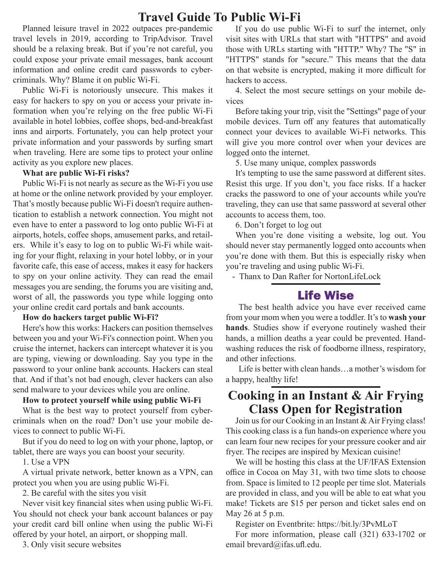## **Travel Guide To Public Wi-Fi**

Planned leisure travel in 2022 outpaces pre-pandemic travel levels in 2019, according to TripAdvisor. Travel should be a relaxing break. But if you're not careful, you could expose your private email messages, bank account information and online credit card passwords to cybercriminals. Why? Blame it on public Wi-Fi.

Public Wi-Fi is notoriously unsecure. This makes it easy for hackers to spy on you or access your private information when you're relying on the free public Wi-Fi available in hotel lobbies, coffee shops, bed-and-breakfast inns and airports. Fortunately, you can help protect your private information and your passwords by surfing smart when traveling. Here are some tips to protect your online activity as you explore new places.

#### **What are public Wi-Fi risks?**

Public Wi-Fi is not nearly as secure as the Wi-Fi you use at home or the online network provided by your employer. That's mostly because public Wi-Fi doesn't require authentication to establish a network connection. You might not even have to enter a password to log onto public Wi-Fi at airports, hotels, coffee shops, amusement parks, and retailers. While it's easy to log on to public Wi-Fi while waiting for your flight, relaxing in your hotel lobby, or in your favorite cafe, this ease of access, makes it easy for hackers to spy on your online activity. They can read the email messages you are sending, the forums you are visiting and, worst of all, the passwords you type while logging onto your online credit card portals and bank accounts.

#### **How do hackers target public Wi-Fi?**

Here's how this works: Hackers can position themselves between you and your Wi-Fi's connection point. When you cruise the internet, hackers can intercept whatever it is you are typing, viewing or downloading. Say you type in the password to your online bank accounts. Hackers can steal that. And if that's not bad enough, clever hackers can also send malware to your devices while you are online.

#### **How to protect yourself while using public Wi-Fi**

What is the best way to protect yourself from cybercriminals when on the road? Don't use your mobile devices to connect to public Wi-Fi.

But if you do need to log on with your phone, laptop, or tablet, there are ways you can boost your security.

1. Use a VPN

A virtual private network, better known as a VPN, can protect you when you are using public Wi-Fi.

2. Be careful with the sites you visit

Never visit key financial sites when using public Wi-Fi. You should not check your bank account balances or pay your credit card bill online when using the public Wi-Fi offered by your hotel, an airport, or shopping mall.

3. Only visit secure websites

If you do use public Wi-Fi to surf the internet, only visit sites with URLs that start with "HTTPS" and avoid those with URLs starting with "HTTP." Why? The "S" in "HTTPS" stands for "secure." This means that the data on that website is encrypted, making it more difficult for hackers to access.

4. Select the most secure settings on your mobile devices

Before taking your trip, visit the "Settings" page of your mobile devices. Turn off any features that automatically connect your devices to available Wi-Fi networks. This will give you more control over when your devices are logged onto the internet.

5. Use many unique, complex passwords

It's tempting to use the same password at different sites. Resist this urge. If you don't, you face risks. If a hacker cracks the password to one of your accounts while you're traveling, they can use that same password at several other accounts to access them, too.

6. Don't forget to log out

When you're done visiting a website, log out. You should never stay permanently logged onto accounts when you're done with them. But this is especially risky when you're traveling and using public Wi-Fi.

- Thanx to Dan Rafter for NortonLifeLock

### Life Wise

The best health advice you have ever received came from your mom when you were a toddler. It's to **wash your hands**. Studies show if everyone routinely washed their hands, a million deaths a year could be prevented. Handwashing reduces the risk of foodborne illness, respiratory, and other infections.

Life is better with clean hands…a mother's wisdom for a happy, healthy life!

# **Cooking in an Instant & Air Frying Class Open for Registration**

Join us for our Cooking in an Instant & Air Frying class! This cooking class is a fun hands-on experience where you can learn four new recipes for your pressure cooker and air fryer. The recipes are inspired by Mexican cuisine!

We will be hosting this class at the UF/IFAS Extension office in Cocoa on May 31, with two time slots to choose from. Space is limited to 12 people per time slot. Materials are provided in class, and you will be able to eat what you make! Tickets are \$15 per person and ticket sales end on May 26 at 5 p.m.

Register on Eventbrite: https://bit.ly/3PvMLoT

For more information, please call (321) 633-1702 or email brevard@ifas.ufl.edu.